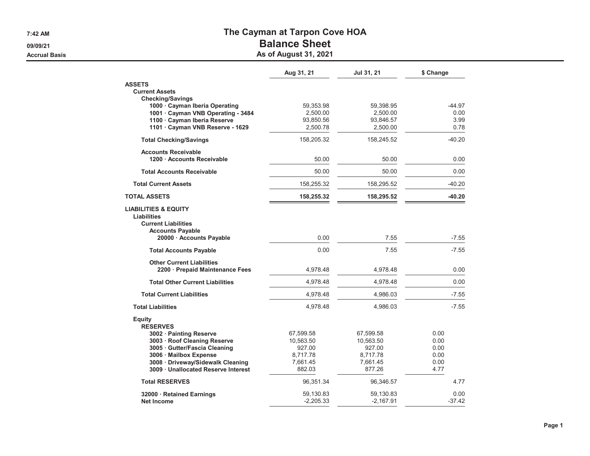**7:42 AM**

**09/09/21**

**Accrual Basis**

## **The Cayman at Tarpon Cove HOA**

## **Balance Sheet**

**As of August 31, 2021**

|                                                                                                                                                                                              | Aug 31, 21                                                         | Jul 31, 21                                                         | \$ Change                                    |
|----------------------------------------------------------------------------------------------------------------------------------------------------------------------------------------------|--------------------------------------------------------------------|--------------------------------------------------------------------|----------------------------------------------|
| <b>ASSETS</b><br><b>Current Assets</b>                                                                                                                                                       |                                                                    |                                                                    |                                              |
| <b>Checking/Savings</b><br>1000 · Cayman Iberia Operating<br>1001 · Cayman VNB Operating - 3484<br>1100 · Cayman Iberia Reserve<br>1101 · Cayman VNB Reserve - 1629                          | 59,353.98<br>2,500.00<br>93,850.56<br>2,500.78                     | 59,398.95<br>2,500.00<br>93,846.57<br>2,500.00                     | $-44.97$<br>0.00<br>3.99<br>0.78             |
| <b>Total Checking/Savings</b>                                                                                                                                                                | 158,205.32                                                         | 158,245.52                                                         | $-40.20$                                     |
| <b>Accounts Receivable</b><br>1200 · Accounts Receivable                                                                                                                                     | 50.00                                                              | 50.00                                                              | 0.00                                         |
| <b>Total Accounts Receivable</b>                                                                                                                                                             | 50.00                                                              | 50.00                                                              | 0.00                                         |
| <b>Total Current Assets</b>                                                                                                                                                                  | 158,255.32                                                         | 158,295.52                                                         | $-40.20$                                     |
| <b>TOTAL ASSETS</b>                                                                                                                                                                          | 158,255.32                                                         | 158,295.52                                                         | $-40.20$                                     |
| <b>LIABILITIES &amp; EQUITY</b><br>Liabilities<br><b>Current Liabilities</b><br><b>Accounts Payable</b><br>20000 · Accounts Payable                                                          | 0.00                                                               | 7.55                                                               | $-7.55$                                      |
| <b>Total Accounts Payable</b>                                                                                                                                                                | 0.00                                                               | 7.55                                                               | $-7.55$                                      |
| <b>Other Current Liabilities</b><br>2200 · Prepaid Maintenance Fees                                                                                                                          | 4,978.48                                                           | 4,978.48                                                           | 0.00                                         |
| <b>Total Other Current Liabilities</b>                                                                                                                                                       | 4,978.48                                                           | 4,978.48                                                           | 0.00                                         |
| <b>Total Current Liabilities</b>                                                                                                                                                             | 4,978.48                                                           | 4,986.03                                                           | $-7.55$                                      |
| <b>Total Liabilities</b>                                                                                                                                                                     | 4,978.48                                                           | 4,986.03                                                           | $-7.55$                                      |
| <b>Equity</b><br><b>RESERVES</b>                                                                                                                                                             |                                                                    |                                                                    |                                              |
| 3002 · Painting Reserve<br>3003 · Roof Cleaning Reserve<br>3005 · Gutter/Fascia Cleaning<br>3006 Mailbox Expense<br>3008 · Driveway/Sidewalk Cleaning<br>3009 · Unallocated Reserve Interest | 67,599.58<br>10,563.50<br>927.00<br>8,717.78<br>7,661.45<br>882.03 | 67,599.58<br>10,563.50<br>927.00<br>8,717.78<br>7,661.45<br>877.26 | 0.00<br>0.00<br>0.00<br>0.00<br>0.00<br>4.77 |
| <b>Total RESERVES</b>                                                                                                                                                                        | 96,351.34                                                          | 96,346.57                                                          | 4.77                                         |
| 32000 · Retained Earnings<br><b>Net Income</b>                                                                                                                                               | 59,130.83<br>$-2,205.33$                                           | 59,130.83<br>$-2,167.91$                                           | 0.00<br>$-37.42$                             |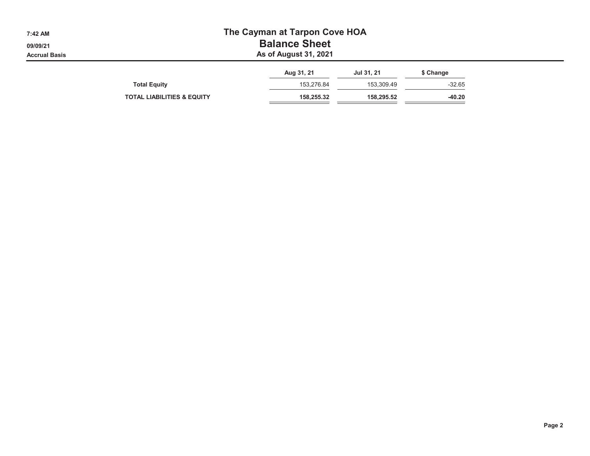| 7:42 AM<br>09/09/21<br><b>Accrual Basis</b> | The Cayman at Tarpon Cove HOA<br><b>Balance Sheet</b><br>As of August 31, 2021 |            |            |           |  |  |  |  |
|---------------------------------------------|--------------------------------------------------------------------------------|------------|------------|-----------|--|--|--|--|
|                                             |                                                                                | Aug 31, 21 | Jul 31, 21 | \$ Change |  |  |  |  |
|                                             | <b>Total Equity</b>                                                            | 153,276.84 | 153.309.49 | $-32.65$  |  |  |  |  |
|                                             | <b>TOTAL LIABILITIES &amp; EQUITY</b>                                          | 158,255.32 | 158.295.52 | $-40.20$  |  |  |  |  |